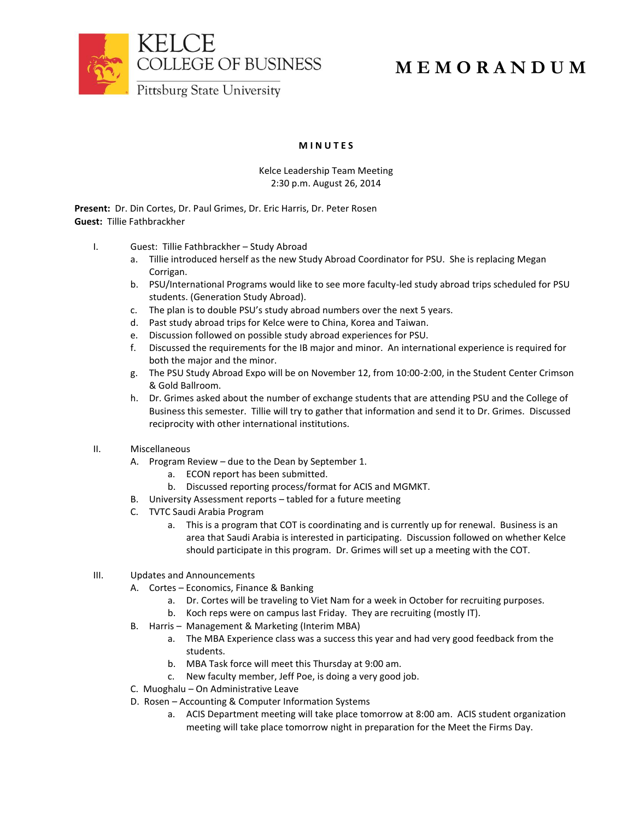

# **M E M O R A N D U M**

## **M I N U T E S**

## Kelce Leadership Team Meeting 2:30 p.m. August 26, 2014

**Present:** Dr. Din Cortes, Dr. Paul Grimes, Dr. Eric Harris, Dr. Peter Rosen **Guest:** Tillie Fathbrackher

- I. Guest: Tillie Fathbrackher Study Abroad
	- a. Tillie introduced herself as the new Study Abroad Coordinator for PSU. She is replacing Megan Corrigan.
	- b. PSU/International Programs would like to see more faculty-led study abroad trips scheduled for PSU students. (Generation Study Abroad).
	- c. The plan is to double PSU's study abroad numbers over the next 5 years.
	- d. Past study abroad trips for Kelce were to China, Korea and Taiwan.
	- e. Discussion followed on possible study abroad experiences for PSU.
	- f. Discussed the requirements for the IB major and minor. An international experience is required for both the major and the minor.
	- g. The PSU Study Abroad Expo will be on November 12, from 10:00-2:00, in the Student Center Crimson & Gold Ballroom.
	- h. Dr. Grimes asked about the number of exchange students that are attending PSU and the College of Business this semester. Tillie will try to gather that information and send it to Dr. Grimes. Discussed reciprocity with other international institutions.
- II. Miscellaneous
	- A. Program Review due to the Dean by September 1.
		- a. ECON report has been submitted.
		- b. Discussed reporting process/format for ACIS and MGMKT.
	- B. University Assessment reports tabled for a future meeting
	- C. TVTC Saudi Arabia Program
		- a. This is a program that COT is coordinating and is currently up for renewal. Business is an area that Saudi Arabia is interested in participating. Discussion followed on whether Kelce should participate in this program. Dr. Grimes will set up a meeting with the COT.
- III. Updates and Announcements
	- A. Cortes Economics, Finance & Banking
		- a. Dr. Cortes will be traveling to Viet Nam for a week in October for recruiting purposes.
		- b. Koch reps were on campus last Friday. They are recruiting (mostly IT).
	- B. Harris Management & Marketing (Interim MBA)
		- a. The MBA Experience class was a success this year and had very good feedback from the students.
		- b. MBA Task force will meet this Thursday at 9:00 am.
		- c. New faculty member, Jeff Poe, is doing a very good job.
	- C. Muoghalu On Administrative Leave
	- D. Rosen Accounting & Computer Information Systems
		- a. ACIS Department meeting will take place tomorrow at 8:00 am. ACIS student organization meeting will take place tomorrow night in preparation for the Meet the Firms Day.